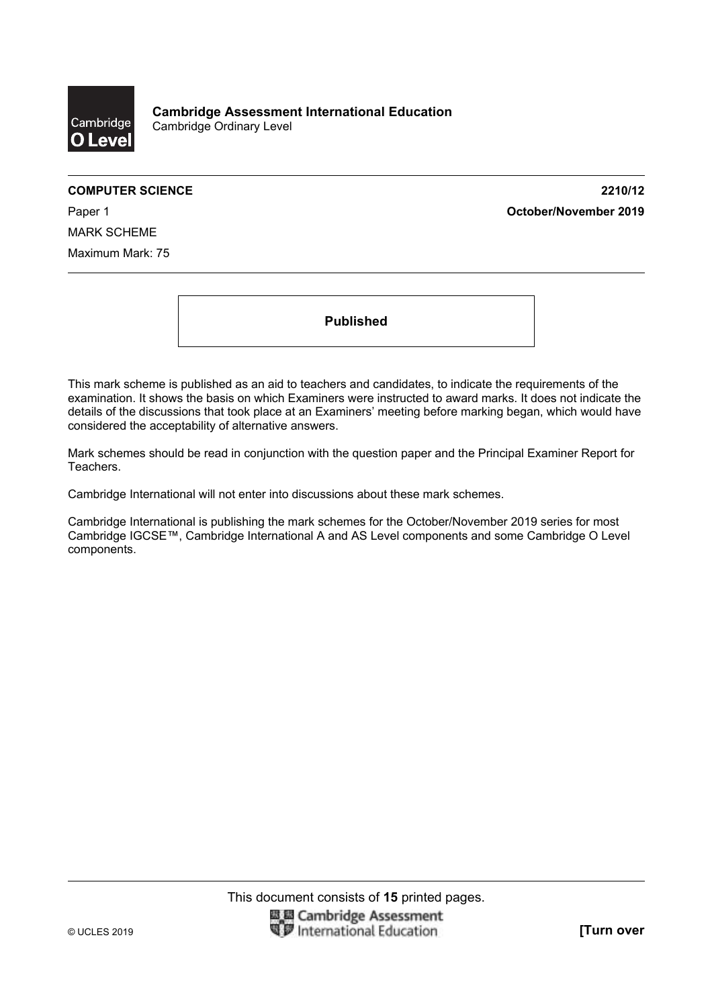

**COMPUTER SCIENCE 2210/12**  Paper 1 **October/November 2019**

MARK SCHEME Maximum Mark: 75

**Published** 

This mark scheme is published as an aid to teachers and candidates, to indicate the requirements of the examination. It shows the basis on which Examiners were instructed to award marks. It does not indicate the details of the discussions that took place at an Examiners' meeting before marking began, which would have considered the acceptability of alternative answers.

Mark schemes should be read in conjunction with the question paper and the Principal Examiner Report for Teachers.

Cambridge International will not enter into discussions about these mark schemes.

Cambridge International is publishing the mark schemes for the October/November 2019 series for most Cambridge IGCSE™, Cambridge International A and AS Level components and some Cambridge O Level components.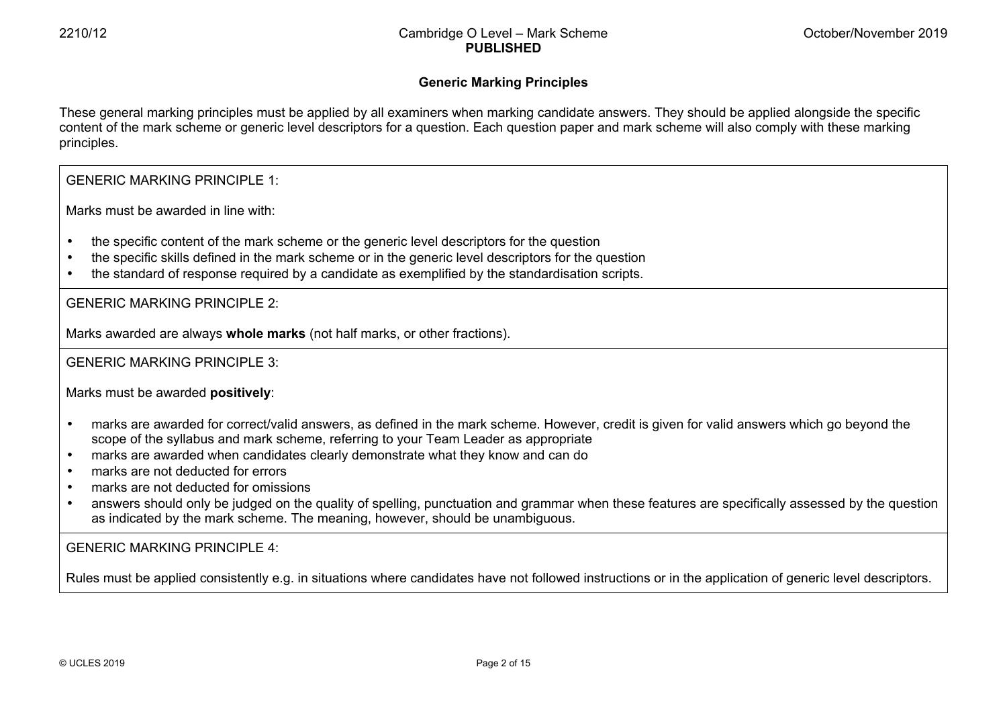### **Generic Marking Principles**

These general marking principles must be applied by all examiners when marking candidate answers. They should be applied alongside the specific content of the mark scheme or generic level descriptors for a question. Each question paper and mark scheme will also comply with these marking principles.

#### GENERIC MARKING PRINCIPLE 1:

Marks must be awarded in line with:

- the specific content of the mark scheme or the generic level descriptors for the question
- the specific skills defined in the mark scheme or in the generic level descriptors for the question
- the standard of response required by a candidate as exemplified by the standardisation scripts.

GENERIC MARKING PRINCIPLE 2:

Marks awarded are always **whole marks** (not half marks, or other fractions).

GENERIC MARKING PRINCIPLE 3:

Marks must be awarded **positively**:

- marks are awarded for correct/valid answers, as defined in the mark scheme. However, credit is given for valid answers which go beyond the scope of the syllabus and mark scheme, referring to your Team Leader as appropriate
- marks are awarded when candidates clearly demonstrate what they know and can do
- marks are not deducted for errors
- marks are not deducted for omissions
- answers should only be judged on the quality of spelling, punctuation and grammar when these features are specifically assessed by the question as indicated by the mark scheme. The meaning, however, should be unambiguous.

# GENERIC MARKING PRINCIPLE 4:

Rules must be applied consistently e.g. in situations where candidates have not followed instructions or in the application of generic level descriptors.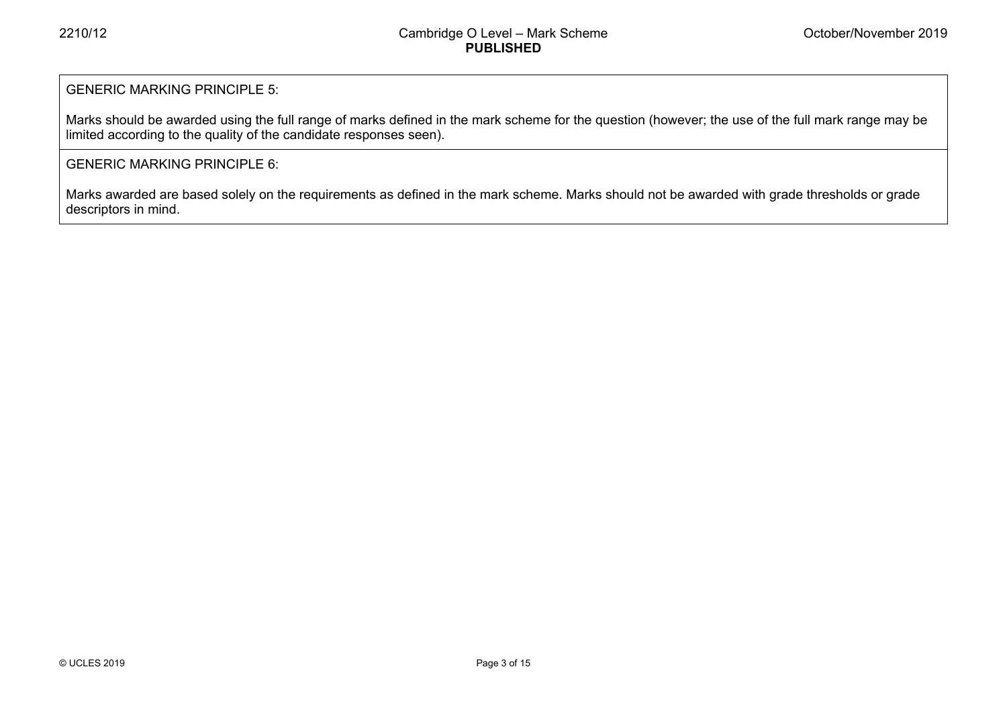# GENERIC MARKING PRINCIPLE 5:

Marks should be awarded using the full range of marks defined in the mark scheme for the question (however; the use of the full mark range may be limited according to the quality of the candidate responses seen).

# GENERIC MARKING PRINCIPLE 6:

Marks awarded are based solely on the requirements as defined in the mark scheme. Marks should not be awarded with grade thresholds or grade descriptors in mind.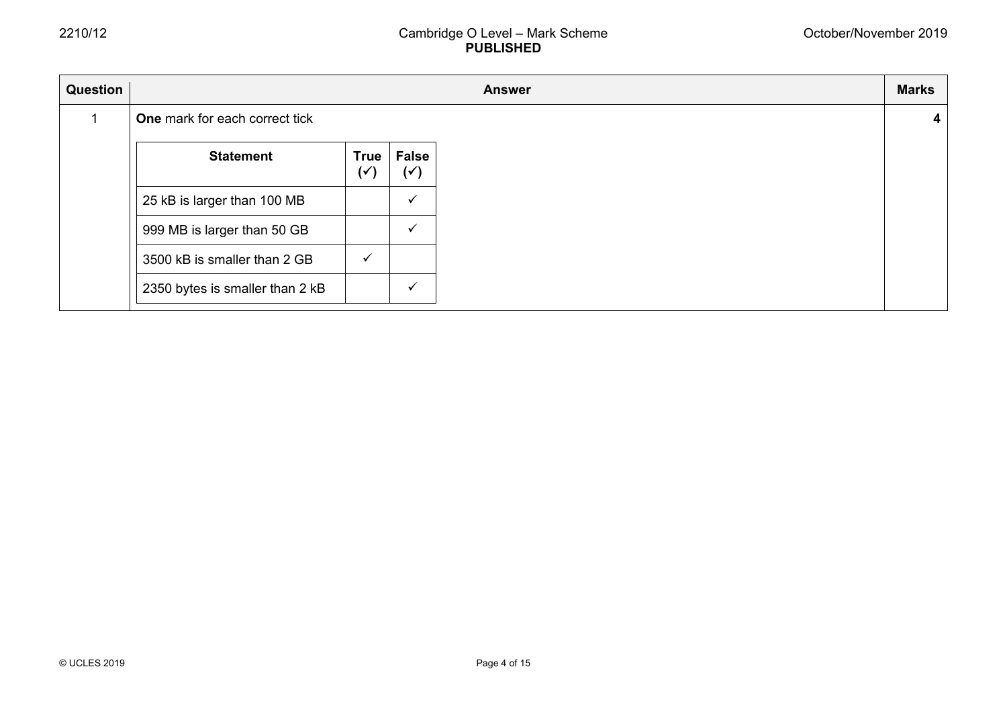| Question |                                       |                               |                                |
|----------|---------------------------------------|-------------------------------|--------------------------------|
|          | <b>One</b> mark for each correct tick |                               |                                |
|          | <b>Statement</b>                      | <b>True</b><br>$(\checkmark)$ | <b>False</b><br>$(\checkmark)$ |
|          | 25 kB is larger than 100 MB           |                               | $\checkmark$                   |
|          | 999 MB is larger than 50 GB           |                               | $\checkmark$                   |
|          | 3500 kB is smaller than 2 GB          | $\checkmark$                  |                                |
|          | 2350 bytes is smaller than 2 kB       |                               | $\checkmark$                   |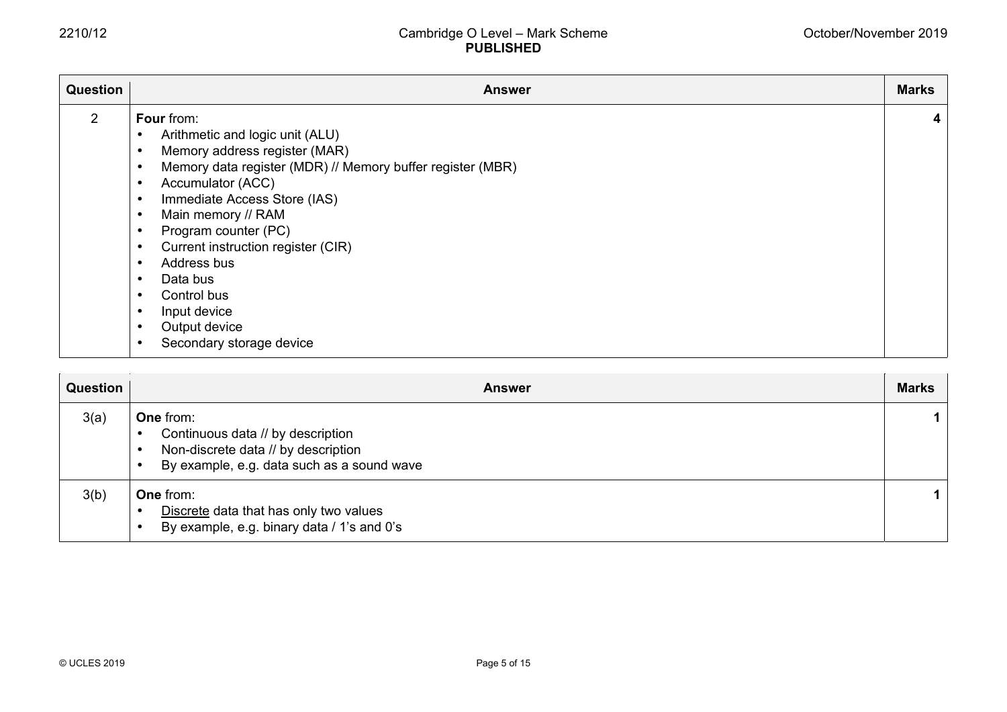| <b>Question</b> | <b>Answer</b>                                                                                                                                                                                                                                                                                                                                                                                                                                                                             | <b>Marks</b> |
|-----------------|-------------------------------------------------------------------------------------------------------------------------------------------------------------------------------------------------------------------------------------------------------------------------------------------------------------------------------------------------------------------------------------------------------------------------------------------------------------------------------------------|--------------|
| 2               | Four from:<br>Arithmetic and logic unit (ALU)<br>Memory address register (MAR)<br>$\bullet$<br>Memory data register (MDR) // Memory buffer register (MBR)<br>$\bullet$<br>Accumulator (ACC)<br>٠<br>Immediate Access Store (IAS)<br>$\bullet$<br>Main memory // RAM<br>$\bullet$<br>Program counter (PC)<br>٠<br>Current instruction register (CIR)<br>Address bus<br>Data bus<br>Control bus<br>$\bullet$<br>Input device<br>$\bullet$<br>Output device<br>٠<br>Secondary storage device |              |

| Question | <b>Answer</b>                                                                                                                              | <b>Marks</b> |
|----------|--------------------------------------------------------------------------------------------------------------------------------------------|--------------|
| 3(a)     | <b>One from:</b><br>Continuous data // by description<br>Non-discrete data // by description<br>By example, e.g. data such as a sound wave | 1.           |
| 3(b)     | <b>One from:</b><br>Discrete data that has only two values<br>By example, e.g. binary data / 1's and 0's                                   | 1.           |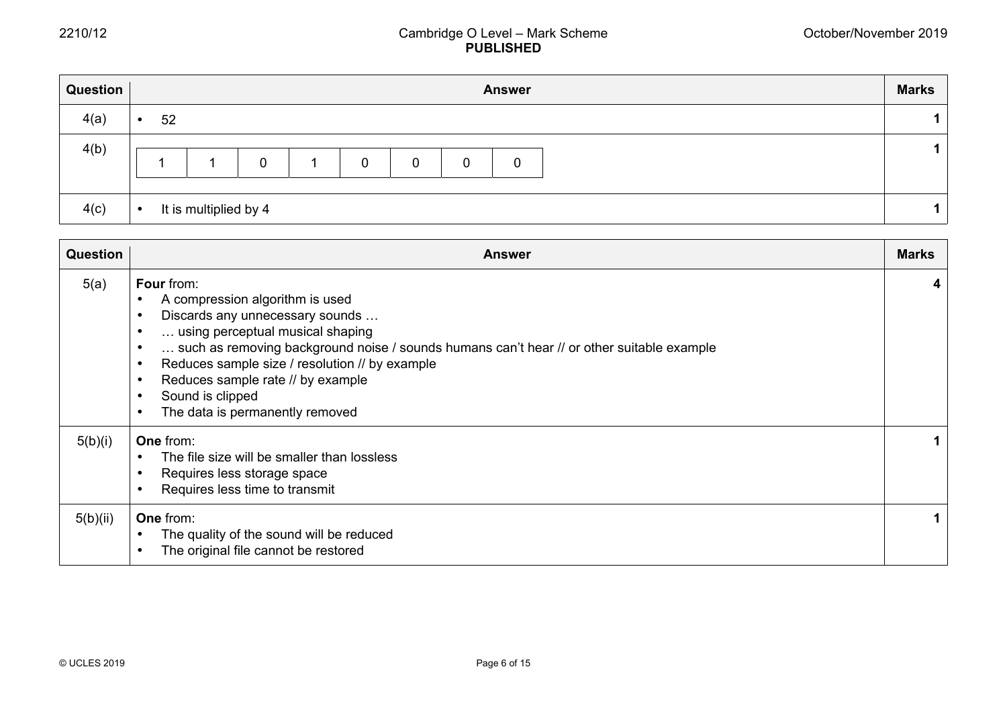| Question | <b>Answer</b> |                       |   |  |   |   |   |   | <b>Marks</b> |  |
|----------|---------------|-----------------------|---|--|---|---|---|---|--------------|--|
| 4(a)     | 52            |                       |   |  |   |   |   |   |              |  |
| 4(b)     |               |                       | 0 |  | 0 | 0 | 0 | 0 |              |  |
| 4(c)     |               | It is multiplied by 4 |   |  |   |   |   |   |              |  |

| <b>Question</b> | <b>Answer</b>                                                                                                                                                                                                                                                                                                                                                                       | <b>Marks</b> |
|-----------------|-------------------------------------------------------------------------------------------------------------------------------------------------------------------------------------------------------------------------------------------------------------------------------------------------------------------------------------------------------------------------------------|--------------|
| 5(a)            | <b>Four</b> from:<br>A compression algorithm is used<br>Discards any unnecessary sounds<br>using perceptual musical shaping<br>such as removing background noise / sounds humans can't hear // or other suitable example<br>Reduces sample size / resolution // by example<br>Reduces sample rate // by example<br>$\bullet$<br>Sound is clipped<br>The data is permanently removed |              |
| 5(b)(i)         | <b>One from:</b><br>The file size will be smaller than lossless<br>Requires less storage space<br>Requires less time to transmit                                                                                                                                                                                                                                                    |              |
| 5(b)(ii)        | <b>One from:</b><br>The quality of the sound will be reduced<br>The original file cannot be restored                                                                                                                                                                                                                                                                                |              |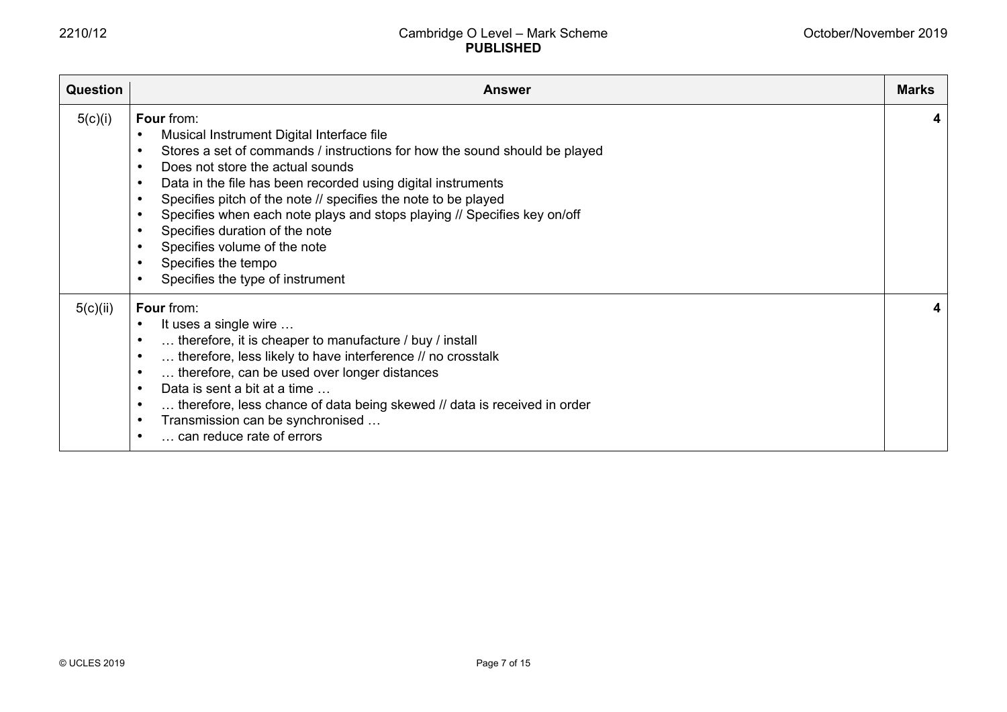| <b>Question</b> | <b>Answer</b>                                                                                                                                                                                                                                                                                                                                                                                                                                                                                                                                               | <b>Marks</b> |
|-----------------|-------------------------------------------------------------------------------------------------------------------------------------------------------------------------------------------------------------------------------------------------------------------------------------------------------------------------------------------------------------------------------------------------------------------------------------------------------------------------------------------------------------------------------------------------------------|--------------|
| 5(c)(i)         | Four from:<br>Musical Instrument Digital Interface file<br>Stores a set of commands / instructions for how the sound should be played<br>Does not store the actual sounds<br>$\bullet$<br>Data in the file has been recorded using digital instruments<br>Specifies pitch of the note // specifies the note to be played<br>$\bullet$<br>Specifies when each note plays and stops playing // Specifies key on/off<br>$\bullet$<br>Specifies duration of the note<br>Specifies volume of the note<br>Specifies the tempo<br>Specifies the type of instrument | 4            |
| 5(c)(ii)        | Four from:<br>It uses a single wire<br>$\bullet$<br>therefore, it is cheaper to manufacture / buy / install<br>therefore, less likely to have interference // no crosstalk<br>therefore, can be used over longer distances<br>$\bullet$<br>Data is sent a bit at a time<br>$\bullet$<br>therefore, less chance of data being skewed // data is received in order<br>$\bullet$<br>Transmission can be synchronised<br>$\bullet$<br>can reduce rate of errors                                                                                                 | 4            |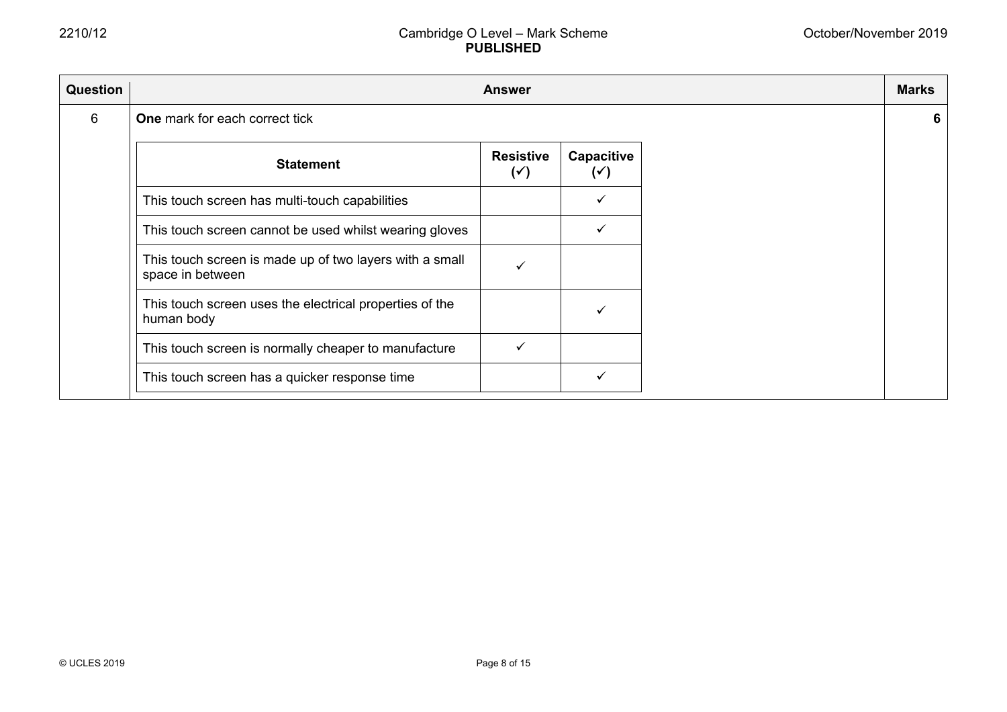| Question |                                                                             | <b>Answer</b>                      |                              |
|----------|-----------------------------------------------------------------------------|------------------------------------|------------------------------|
| 6        | <b>One</b> mark for each correct tick                                       |                                    |                              |
|          | <b>Statement</b>                                                            | <b>Resistive</b><br>$(\checkmark)$ | Capacitive<br>$(\checkmark)$ |
|          | This touch screen has multi-touch capabilities                              |                                    |                              |
|          | This touch screen cannot be used whilst wearing gloves                      |                                    |                              |
|          | This touch screen is made up of two layers with a small<br>space in between |                                    |                              |
|          | This touch screen uses the electrical properties of the<br>human body       |                                    |                              |
|          | This touch screen is normally cheaper to manufacture                        |                                    |                              |
|          | This touch screen has a quicker response time                               |                                    |                              |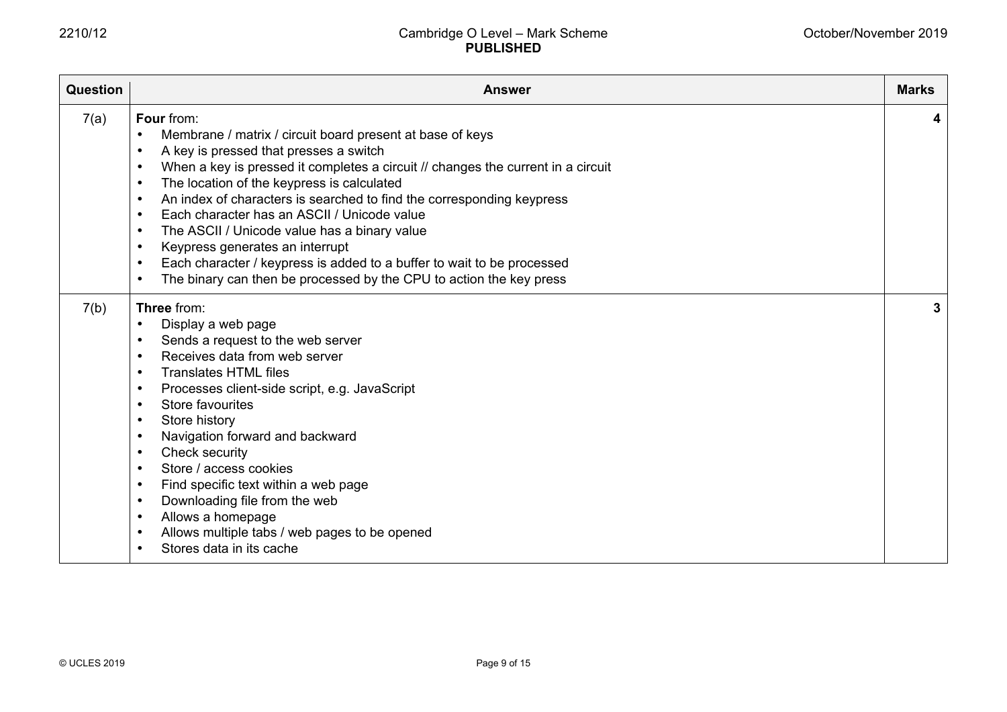| Question | <b>Answer</b>                                                                                                                                                                                                                                                                                                                                                                                                                                                                                                                                                                                                                                                                                                           | <b>Marks</b> |
|----------|-------------------------------------------------------------------------------------------------------------------------------------------------------------------------------------------------------------------------------------------------------------------------------------------------------------------------------------------------------------------------------------------------------------------------------------------------------------------------------------------------------------------------------------------------------------------------------------------------------------------------------------------------------------------------------------------------------------------------|--------------|
| 7(a)     | Four from:<br>Membrane / matrix / circuit board present at base of keys<br>A key is pressed that presses a switch<br>$\bullet$<br>When a key is pressed it completes a circuit // changes the current in a circuit<br>$\bullet$<br>The location of the keypress is calculated<br>$\bullet$<br>An index of characters is searched to find the corresponding keypress<br>$\bullet$<br>Each character has an ASCII / Unicode value<br>$\bullet$<br>The ASCII / Unicode value has a binary value<br>$\bullet$<br>Keypress generates an interrupt<br>Each character / keypress is added to a buffer to wait to be processed<br>$\bullet$<br>The binary can then be processed by the CPU to action the key press<br>$\bullet$ | 4            |
| 7(b)     | Three from:<br>Display a web page<br>$\bullet$<br>Sends a request to the web server<br>$\bullet$<br>Receives data from web server<br>$\bullet$<br><b>Translates HTML files</b><br>Processes client-side script, e.g. JavaScript<br>$\bullet$<br>Store favourites<br>$\bullet$<br>Store history<br>$\bullet$<br>Navigation forward and backward<br>$\bullet$<br>Check security<br>$\bullet$<br>Store / access cookies<br>$\bullet$<br>Find specific text within a web page<br>$\bullet$<br>Downloading file from the web<br>$\bullet$<br>Allows a homepage<br>$\bullet$<br>Allows multiple tabs / web pages to be opened<br>$\bullet$<br>Stores data in its cache                                                        | 3            |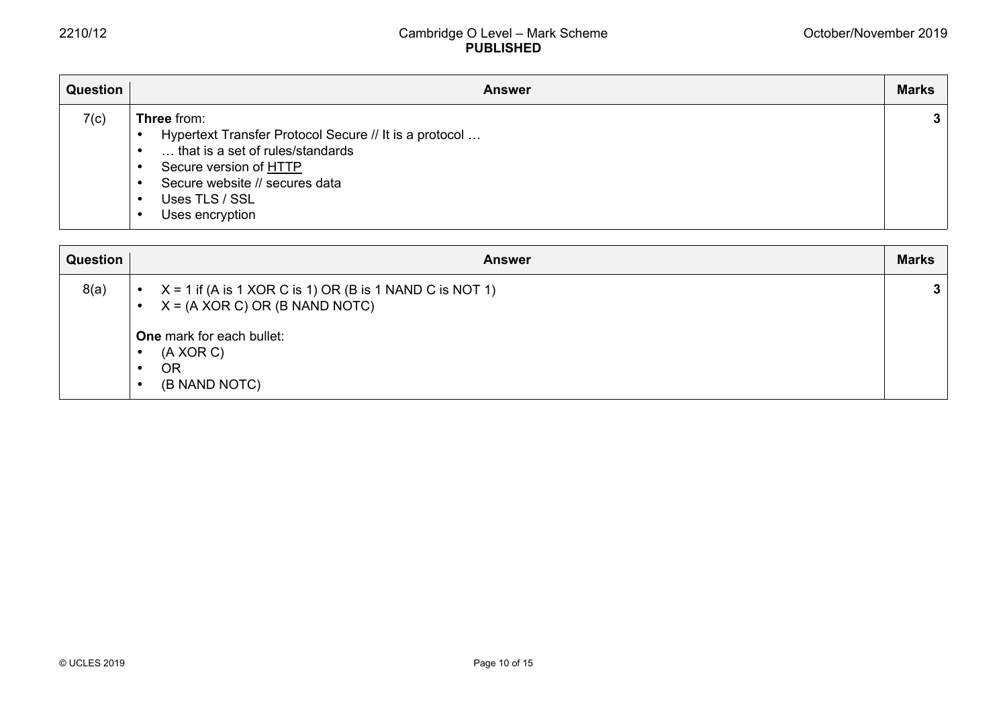| Question | <b>Answer</b>                                                                                                                                                                                                            | <b>Marks</b> |
|----------|--------------------------------------------------------------------------------------------------------------------------------------------------------------------------------------------------------------------------|--------------|
| 7(c)     | <b>Three from:</b><br>Hypertext Transfer Protocol Secure // It is a protocol<br>that is a set of rules/standards<br>Secure version of <b>HTTP</b><br>Secure website // secures data<br>Uses TLS / SSL<br>Uses encryption | 3            |

| Question | <b>Answer</b>                                                                                                                                                                     | <b>Marks</b> |
|----------|-----------------------------------------------------------------------------------------------------------------------------------------------------------------------------------|--------------|
| 8(a)     | $X = 1$ if (A is 1 XOR C is 1) OR (B is 1 NAND C is NOT 1)<br>$X = (A XOR C) OR (B NAND NOTC)$<br><b>One</b> mark for each bullet:<br>$(A \ XOR C)$<br><b>OR</b><br>(B NAND NOTC) | 3            |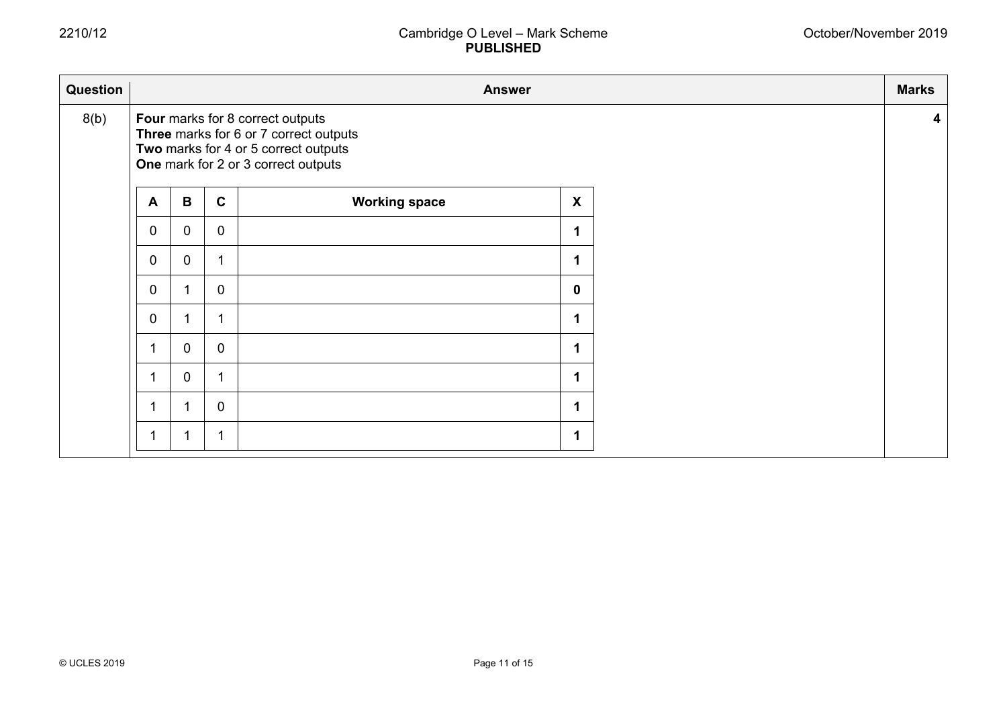| Question |             |                |                | <b>Answer</b>                                                                                                                                             |                           | <b>Marks</b>            |
|----------|-------------|----------------|----------------|-----------------------------------------------------------------------------------------------------------------------------------------------------------|---------------------------|-------------------------|
| 8(b)     |             |                |                | Four marks for 8 correct outputs<br>Three marks for 6 or 7 correct outputs<br>Two marks for 4 or 5 correct outputs<br>One mark for 2 or 3 correct outputs |                           | $\overline{\mathbf{4}}$ |
|          | A           | B              | $\mathbf{C}$   | <b>Working space</b>                                                                                                                                      | $\boldsymbol{\mathsf{X}}$ |                         |
|          | 0           | $\overline{0}$ | $\overline{0}$ |                                                                                                                                                           | $\mathbf 1$               |                         |
|          | $\mathbf 0$ | $\mathbf 0$    |                |                                                                                                                                                           | $\blacktriangleleft$      |                         |
|          | 0           |                | $\mathbf 0$    |                                                                                                                                                           | $\mathbf 0$               |                         |
|          | 0           |                |                |                                                                                                                                                           | $\mathbf 1$               |                         |
|          |             | $\overline{0}$ | $\mathbf 0$    |                                                                                                                                                           | 1                         |                         |
|          |             | 0              |                |                                                                                                                                                           | $\blacktriangleleft$      |                         |
|          |             |                | $\mathbf 0$    |                                                                                                                                                           | 1                         |                         |
|          |             | 1              |                |                                                                                                                                                           | 1                         |                         |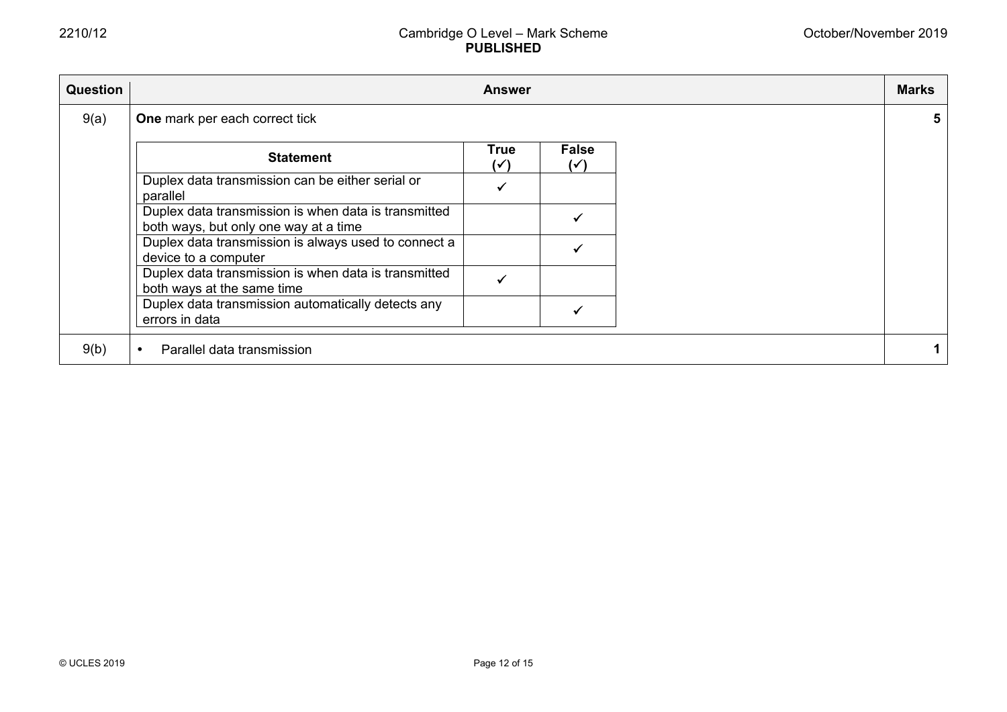| <b>Question</b> |                                                                                               | <b>Answer</b>     |                                | <b>Marks</b> |
|-----------------|-----------------------------------------------------------------------------------------------|-------------------|--------------------------------|--------------|
| 9(a)            | One mark per each correct tick                                                                |                   |                                |              |
|                 | <b>Statement</b>                                                                              | <b>True</b><br>(✓ | <b>False</b><br>$(\checkmark)$ |              |
|                 | Duplex data transmission can be either serial or<br>parallel                                  |                   |                                |              |
|                 | Duplex data transmission is when data is transmitted<br>both ways, but only one way at a time |                   |                                |              |
|                 | Duplex data transmission is always used to connect a<br>device to a computer                  |                   |                                |              |
|                 | Duplex data transmission is when data is transmitted<br>both ways at the same time            |                   |                                |              |
|                 | Duplex data transmission automatically detects any<br>errors in data                          |                   |                                |              |
| 9(b)            | Parallel data transmission                                                                    |                   |                                |              |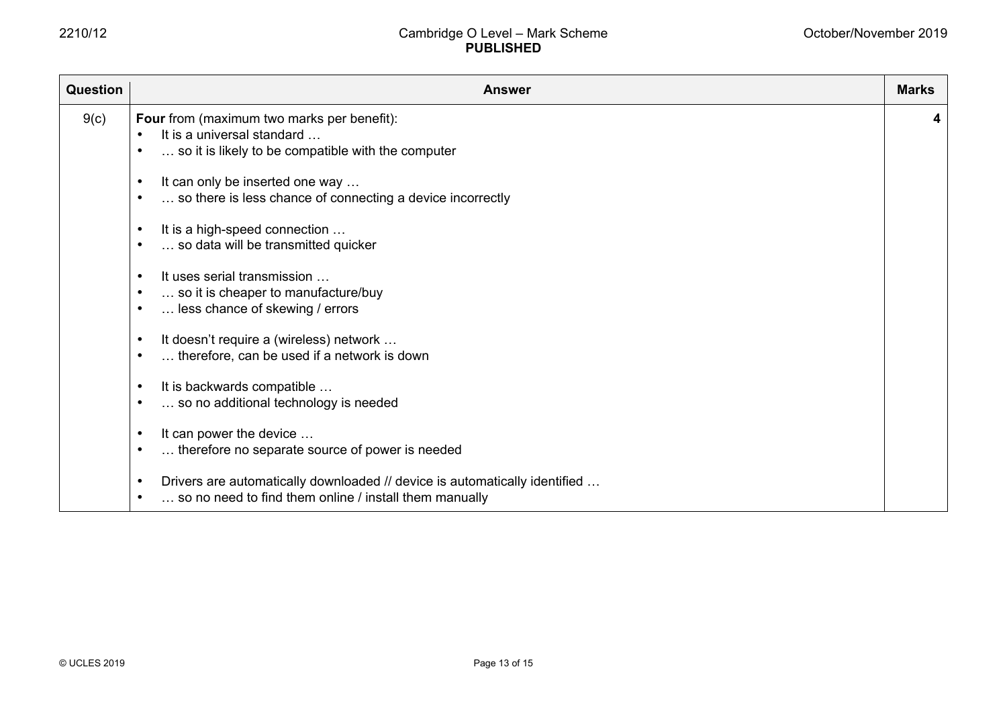| <b>Question</b> | <b>Answer</b>                                                                                                                                     | <b>Marks</b> |
|-----------------|---------------------------------------------------------------------------------------------------------------------------------------------------|--------------|
| 9(c)            | Four from (maximum two marks per benefit):<br>It is a universal standard<br>$\bullet$<br>so it is likely to be compatible with the computer       | 4            |
|                 | It can only be inserted one way<br>so there is less chance of connecting a device incorrectly                                                     |              |
|                 | It is a high-speed connection<br>$\bullet$<br>so data will be transmitted quicker                                                                 |              |
|                 | It uses serial transmission<br>$\bullet$<br>so it is cheaper to manufacture/buy<br>less chance of skewing / errors<br>$\bullet$                   |              |
|                 | It doesn't require a (wireless) network<br>$\bullet$<br>therefore, can be used if a network is down                                               |              |
|                 | It is backwards compatible<br>$\bullet$<br>so no additional technology is needed                                                                  |              |
|                 | It can power the device<br>$\bullet$<br>therefore no separate source of power is needed<br>$\bullet$                                              |              |
|                 | Drivers are automatically downloaded // device is automatically identified<br>$\bullet$<br>so no need to find them online / install them manually |              |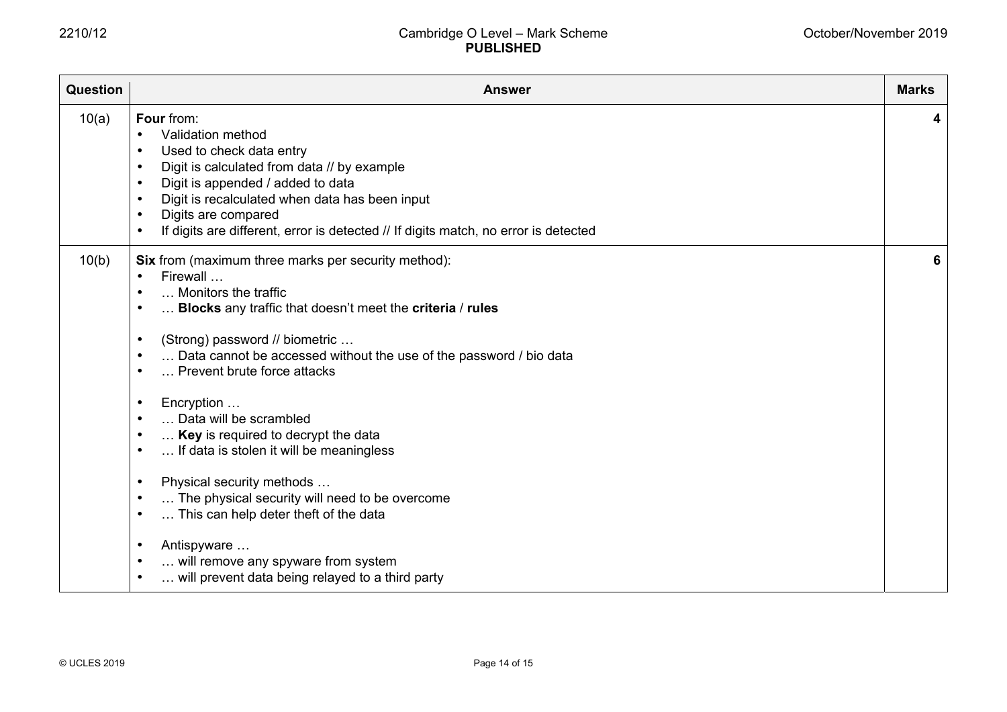| Question | <b>Answer</b>                                                                                                                                                                                                                                                                                                                                                                                                                                                                                                                                                                                                                                                                                                                                                                                                                                                            | <b>Marks</b> |
|----------|--------------------------------------------------------------------------------------------------------------------------------------------------------------------------------------------------------------------------------------------------------------------------------------------------------------------------------------------------------------------------------------------------------------------------------------------------------------------------------------------------------------------------------------------------------------------------------------------------------------------------------------------------------------------------------------------------------------------------------------------------------------------------------------------------------------------------------------------------------------------------|--------------|
| 10(a)    | Four from:<br>Validation method<br>$\bullet$<br>Used to check data entry<br>$\bullet$<br>Digit is calculated from data // by example<br>$\bullet$<br>Digit is appended / added to data<br>$\bullet$<br>Digit is recalculated when data has been input<br>$\bullet$<br>Digits are compared<br>$\bullet$<br>If digits are different, error is detected // If digits match, no error is detected<br>$\bullet$                                                                                                                                                                                                                                                                                                                                                                                                                                                               | 4            |
| 10(b)    | Six from (maximum three marks per security method):<br>Firewall<br>$\bullet$<br>Monitors the traffic<br>$\bullet$<br>Blocks any traffic that doesn't meet the criteria / rules<br>$\bullet$<br>(Strong) password // biometric<br>$\bullet$<br>Data cannot be accessed without the use of the password / bio data<br>$\bullet$<br>Prevent brute force attacks<br>$\bullet$<br>Encryption<br>$\bullet$<br>Data will be scrambled<br>$\bullet$<br>Key is required to decrypt the data<br>$\bullet$<br>If data is stolen it will be meaningless<br>$\bullet$<br>Physical security methods<br>$\bullet$<br>The physical security will need to be overcome<br>$\bullet$<br>This can help deter theft of the data<br>$\bullet$<br>Antispyware<br>$\bullet$<br>will remove any spyware from system<br>$\bullet$<br>will prevent data being relayed to a third party<br>$\bullet$ | 6            |